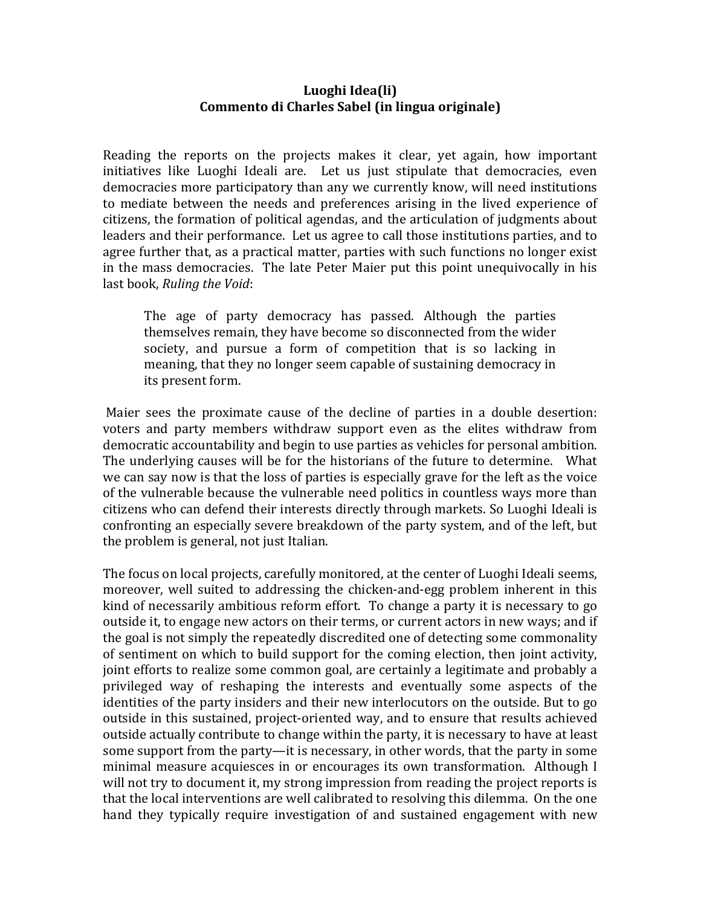## Luoghi Idea(li) Commento di Charles Sabel (in lingua originale)

Reading the reports on the projects makes it clear, yet again, how important initiatives like Luoghi Ideali are. Let us just stipulate that democracies, even democracies more participatory than any we currently know, will need institutions to mediate between the needs and preferences arising in the lived experience of citizens, the formation of political agendas, and the articulation of judgments about leaders and their performance. Let us agree to call those institutions parties, and to agree further that, as a practical matter, parties with such functions no longer exist in the mass democracies. The late Peter Maier put this point unequivocally in his last book, *Ruling the Void*:

The age of party democracy has passed. Although the parties themselves remain, they have become so disconnected from the wider society, and pursue a form of competition that is so lacking in meaning, that they no longer seem capable of sustaining democracy in its present form.

Maier sees the proximate cause of the decline of parties in a double desertion: voters and party members withdraw support even as the elites withdraw from democratic accountability and begin to use parties as vehicles for personal ambition. The underlying causes will be for the historians of the future to determine. What we can say now is that the loss of parties is especially grave for the left as the voice of the vulnerable because the vulnerable need politics in countless ways more than citizens who can defend their interests directly through markets. So Luoghi Ideali is confronting an especially severe breakdown of the party system, and of the left, but the problem is general, not just Italian.

The focus on local projects, carefully monitored, at the center of Luoghi Ideali seems, moreover, well suited to addressing the chicken-and-egg problem inherent in this kind of necessarily ambitious reform effort. To change a party it is necessary to go outside it, to engage new actors on their terms, or current actors in new ways; and if the goal is not simply the repeatedly discredited one of detecting some commonality of sentiment on which to build support for the coming election, then joint activity, joint efforts to realize some common goal, are certainly a legitimate and probably a privileged way of reshaping the interests and eventually some aspects of the identities of the party insiders and their new interlocutors on the outside. But to go outside in this sustained, project-oriented way, and to ensure that results achieved outside actually contribute to change within the party, it is necessary to have at least some support from the party—it is necessary, in other words, that the party in some minimal measure acquiesces in or encourages its own transformation. Although I will not try to document it, my strong impression from reading the project reports is that the local interventions are well calibrated to resolving this dilemma. On the one hand they typically require investigation of and sustained engagement with new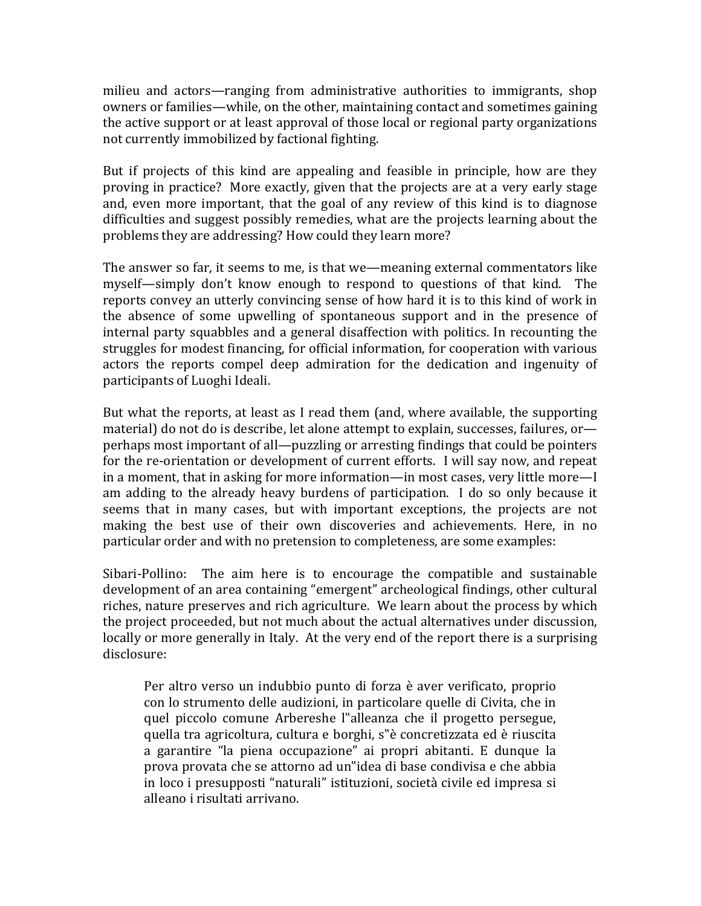milieu and actors—ranging from administrative authorities to immigrants, shop owners or families—while, on the other, maintaining contact and sometimes gaining the active support or at least approval of those local or regional party organizations not currently immobilized by factional fighting.

But if projects of this kind are appealing and feasible in principle, how are they proving in practice? More exactly, given that the projects are at a very early stage and, even more important, that the goal of any review of this kind is to diagnose difficulties and suggest possibly remedies, what are the projects learning about the problems they are addressing? How could they learn more?

The answer so far, it seems to me, is that we—meaning external commentators like myself—simply don't know enough to respond to questions of that kind. The reports convey an utterly convincing sense of how hard it is to this kind of work in the absence of some upwelling of spontaneous support and in the presence of internal party squabbles and a general disaffection with politics. In recounting the struggles for modest financing, for official information, for cooperation with various actors the reports compel deep admiration for the dedication and ingenuity of participants of Luoghi Ideali.

But what the reports, at least as I read them (and, where available, the supporting material) do not do is describe, let alone attempt to explain, successes, failures, orperhaps most important of all—puzzling or arresting findings that could be pointers for the re-orientation or development of current efforts. I will say now, and repeat in a moment, that in asking for more information—in most cases, very little more—I am adding to the already heavy burdens of participation. I do so only because it seems that in many cases, but with important exceptions, the projects are not making the best use of their own discoveries and achievements. Here, in no particular order and with no pretension to completeness, are some examples:

 $Sibari-Pollino:$  The aim here is to encourage the compatible and sustainable development of an area containing "emergent" archeological findings, other cultural riches, nature preserves and rich agriculture. We learn about the process by which the project proceeded, but not much about the actual alternatives under discussion, locally or more generally in Italy. At the very end of the report there is a surprising disclosure:

Per altro verso un indubbio punto di forza è aver verificato, proprio con lo strumento delle audizioni, in particolare quelle di Civita, che in quel piccolo comune Arbereshe l"alleanza che il progetto persegue, quella tra agricoltura, cultura e borghi, s"è concretizzata ed è riuscita a garantire "la piena occupazione" ai propri abitanti. E dunque la prova provata che se attorno ad un didea di base condivisa e che abbia in loco i presupposti "naturali" istituzioni, società civile ed impresa si alleano i risultati arrivano.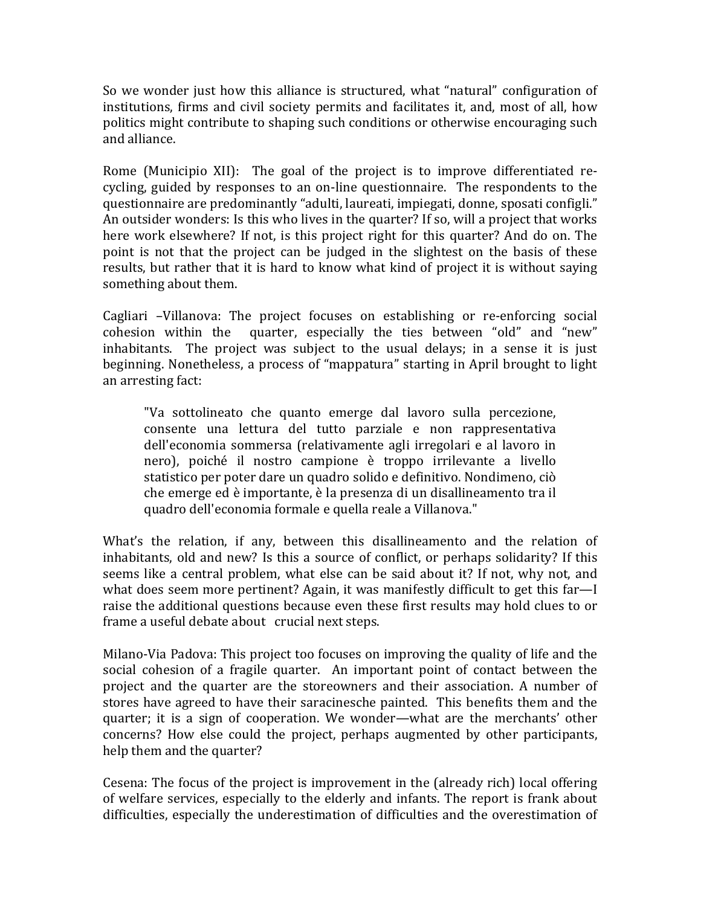So we wonder just how this alliance is structured, what "natural" configuration of institutions, firms and civil society permits and facilitates it, and, most of all, how politics might contribute to shaping such conditions or otherwise encouraging such and alliance.

Rome (Municipio XII): The goal of the project is to improve differentiated recycling, guided by responses to an on-line questionnaire. The respondents to the questionnaire are predominantly "adulti, laureati, impiegati, donne, sposati configli." An outsider wonders: Is this who lives in the quarter? If so, will a project that works here work elsewhere? If not, is this project right for this quarter? And do on. The point is not that the project can be judged in the slightest on the basis of these results, but rather that it is hard to know what kind of project it is without saying something about them.

Cagliari -Villanova: The project focuses on establishing or re-enforcing social cohesion within the quarter, especially the ties between "old" and "new" inhabitants. The project was subject to the usual delays; in a sense it is just beginning. Nonetheless, a process of "mappatura" starting in April brought to light an arresting fact:

"Va sottolineato che quanto emerge dal lavoro sulla percezione, consente una lettura del tutto parziale e non rappresentativa dell'economia sommersa (relativamente agli irregolari e al lavoro in nero), poiché il nostro campione è troppo irrilevante a livello statistico per poter dare un quadro solido e definitivo. Nondimeno, ciò che emerge ed è importante, è la presenza di un disallineamento tra il quadro dell'economia formale e quella reale a Villanova."

What's the relation, if any, between this disallineamento and the relation of inhabitants, old and new? Is this a source of conflict, or perhaps solidarity? If this seems like a central problem, what else can be said about it? If not, why not, and what does seem more pertinent? Again, it was manifestly difficult to get this far—I raise the additional questions because even these first results may hold clues to or frame a useful debate about crucial next steps.

Milano-Via Padova: This project too focuses on improving the quality of life and the social cohesion of a fragile quarter. An important point of contact between the project and the quarter are the storeowners and their association. A number of stores have agreed to have their saracinesche painted. This benefits them and the quarter; it is a sign of cooperation. We wonder—what are the merchants' other concerns? How else could the project, perhaps augmented by other participants, help them and the quarter?

Cesena: The focus of the project is improvement in the (already rich) local offering of welfare services, especially to the elderly and infants. The report is frank about difficulties, especially the underestimation of difficulties and the overestimation of